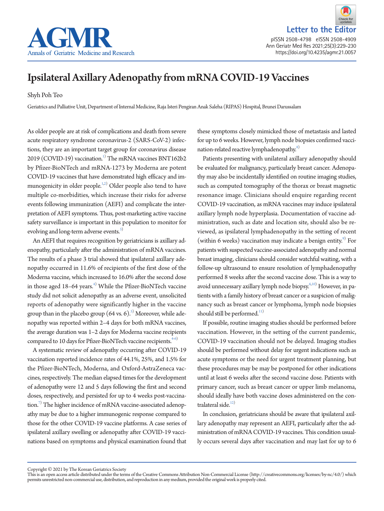



# Ipsilateral Axillary Adenopathy from mRNA COVID-19 Vaccines

Shyh Poh Teo

Geriatrics and Palliative Unit, Department of Internal Medicine, Raja Isteri Pengiran Anak Saleha (RIPAS) Hospital, Brunei Darussalam

As older people are at risk of complications and death from severe acute respiratory syndrome coronavirus-2 (SARS-CoV-2) infections, they are an important target group for coronavirus disease  $2019$  (COVID-19) vaccination.<sup>1)</sup> The mRNA vaccines BNT162b2 by Pfizer-BioNTech and mRNA-1273 by Moderna are potent COVID-19 vaccines that have demonstrated high efficacy and im-munogenicity in older people.<sup>[1](#page-1-0)[,2](#page-1-1))</sup> Older people also tend to have multiple co-morbidities, which increase their risks for adverse events following immunization (AEFI) and complicate the interpretation of AEFI symptoms. Thus, post-marketing active vaccine safety surveillance is important in this population to monitor for evolving and long-term adverse events.<sup>3)</sup>

An AEFI that requires recognition by geriatricians is axillary adenopathy, particularly after the administration of mRNA vaccines. The results of a phase 3 trial showed that ipsilateral axillary adenopathy occurred in 11.6% of recipients of the first dose of the Moderna vaccine, which increased to 16.0% after the second dose in those aged 18–64 years. $4)$  While the Pfizer-BioNTech vaccine study did not solicit adenopathy as an adverse event, unsolicited reports of adenopathy were significantly higher in the vaccine group than in the placebo group  $(64 \text{ vs. } 6)^{5)}$  $(64 \text{ vs. } 6)^{5)}$  $(64 \text{ vs. } 6)^{5)}$  Moreover, while adenopathy was reported within 2–4 days for both mRNA vaccines, the average duration was 1–2 days for Moderna vaccine recipients compared to 10 days for Pfizer-BioNTech vaccine recipients.<sup>4[-6](#page-1-5))</sup>

A systematic review of adenopathy occurring after COVID-19 vaccination reported incidence rates of 44.1%, 25%, and 1.5% for the Pfizer-BioNTech, Moderna, and Oxford-AstraZeneca vaccines, respectively. The median elapsed times for the development of adenopathy were 12 and 5 days following the first and second doses, respectively, and persisted for up to 4 weeks post-vaccina-tion.<sup>[7](#page-1-6))</sup> The higher incidence of mRNA vaccine-associated adenopathy may be due to a higher immunogenic response compared to those for the other COVID-19 vaccine platforms. A case series of ipsilateral axillary swelling or adenopathy after COVID-19 vaccinations based on symptoms and physical examination found that

these symptoms closely mimicked those of metastasis and lasted for up to 6 weeks. However, lymph node biopsies confirmed vacci-nation-related reactive lymphadenopathy.<sup>[8\)](#page-1-7)</sup>

Patients presenting with unilateral axillary adenopathy should be evaluated for malignancy, particularly breast cancer. Adenopathy may also be incidentally identified on routine imaging studies, such as computed tomography of the thorax or breast magnetic resonance image. Clinicians should enquire regarding recent COVID-19 vaccination, as mRNA vaccines may induce ipsilateral axillary lymph node hyperplasia. Documentation of vaccine administration, such as date and location site, should also be reviewed, as ipsilateral lymphadenopathy in the setting of recent (within 6 weeks) vaccination may indicate a benign entity. $9^{\circ}$  For patients with suspected vaccine-associated adenopathy and normal breast imaging, clinicians should consider watchful waiting, with a follow-up ultrasound to ensure resolution of lymphadenopathy performed 8 weeks after the second vaccine dose. This is a way to avoid unnecessary axillary lymph node biopsy.<sup>[6](#page-1-4)[,10](#page-1-9))</sup> However, in patients with a family history of breast cancer or a suspicion of malignancy such as breast cancer or lymphoma, lymph node biopsies should still be performed. $11)$ 

If possible, routine imaging studies should be performed before vaccination. However, in the setting of the current pandemic, COVID-19 vaccination should not be delayed. Imaging studies should be performed without delay for urgent indications such as acute symptoms or the need for urgent treatment planning, but these procedures may be may be postponed for other indications until at least 6 weeks after the second vaccine dose. Patients with primary cancer, such as breast cancer or upper limb melanoma, should ideally have both vaccine doses administered on the contralateral side. $12)$ 

In conclusion, geriatricians should be aware that ipsilateral axillary adenopathy may represent an AEFI, particularly after the administration of mRNA COVID-19 vaccines. This condition usually occurs several days after vaccination and may last for up to 6

Copyright © 2021 by The Korean Geriatrics Society

This is an open access article distributed under the terms of the Creative Commons Attribution Non-Commercial License (http://creativecommons.org/licenses/by-nc/4.0/) which permits unrestricted non-commercial use, distribution, and reproduction in any medium, provided the original work is properly cited.